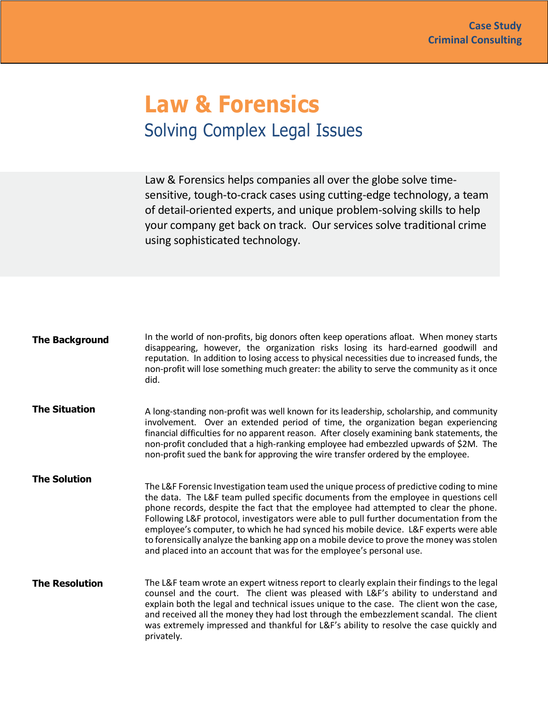## **Law & Forensics** Solving Complex Legal Issues

Law & Forensics helps companies all over the globe solve timesensitive, tough-to-crack cases using cutting-edge technology, a team of detail-oriented experts, and unique problem-solving skills to help your company get back on track. Our services solve traditional crime using sophisticated technology.

| <b>The Background</b> | In the world of non-profits, big donors often keep operations afloat. When money starts<br>disappearing, however, the organization risks losing its hard-earned goodwill and<br>reputation. In addition to losing access to physical necessities due to increased funds, the<br>non-profit will lose something much greater: the ability to serve the community as it once<br>did.                                                                                                                                                                                                                                            |
|-----------------------|-------------------------------------------------------------------------------------------------------------------------------------------------------------------------------------------------------------------------------------------------------------------------------------------------------------------------------------------------------------------------------------------------------------------------------------------------------------------------------------------------------------------------------------------------------------------------------------------------------------------------------|
| <b>The Situation</b>  | A long-standing non-profit was well known for its leadership, scholarship, and community<br>involvement. Over an extended period of time, the organization began experiencing<br>financial difficulties for no apparent reason. After closely examining bank statements, the<br>non-profit concluded that a high-ranking employee had embezzled upwards of \$2M. The<br>non-profit sued the bank for approving the wire transfer ordered by the employee.                                                                                                                                                                     |
| <b>The Solution</b>   | The L&F Forensic Investigation team used the unique process of predictive coding to mine<br>the data. The L&F team pulled specific documents from the employee in questions cell<br>phone records, despite the fact that the employee had attempted to clear the phone.<br>Following L&F protocol, investigators were able to pull further documentation from the<br>employee's computer, to which he had synced his mobile device. L&F experts were able<br>to forensically analyze the banking app on a mobile device to prove the money was stolen<br>and placed into an account that was for the employee's personal use. |
| <b>The Resolution</b> | The L&F team wrote an expert witness report to clearly explain their findings to the legal<br>counsel and the court. The client was pleased with L&F's ability to understand and<br>explain both the legal and technical issues unique to the case. The client won the case,<br>and received all the money they had lost through the embezzlement scandal. The client<br>was extremely impressed and thankful for L&F's ability to resolve the case quickly and<br>privately.                                                                                                                                                 |